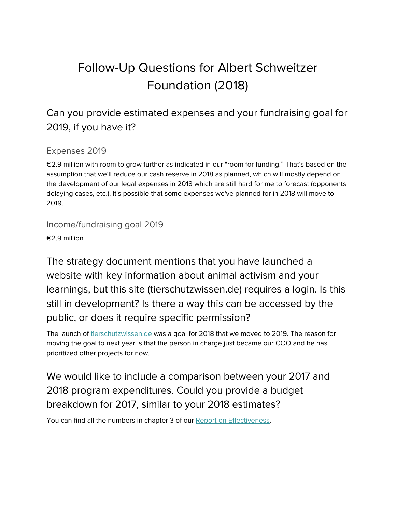# Follow-Up Questions for Albert Schweitzer Foundation (2018)

#### Can you provide estimated expenses and your fundraising goal for 2019, if you have it?

#### Expenses 2019

€2.9 million with room to grow further as indicated in our "room for funding." That's based on the assumption that we'll reduce our cash reserve in 2018 as planned, which will mostly depend on the development of our legal expenses in 2018 which are still hard for me to forecast (opponents delaying cases, etc.). It's possible that some expenses we've planned for in 2018 will move to 2019.

Income/fundraising goal 2019

€2.9 million

The strategy document mentions that you have launched a website with key information about animal activism and your learnings, but this site (tierschutzwissen.de) requires a login. Is this still in development? Is there a way this can be accessed by the public, or does it require specific permission?

The launch of [tierschutzwissen.de](http://tierschutzwissen.de/) was a goal for 2018 that we moved to 2019. The reason for moving the goal to next year is that the person in charge just became our COO and he has prioritized other projects for now.

### We would like to include a comparison between your 2017 and 2018 program expenditures. Could you provide a budget breakdown for 2017, similar to your 2018 estimates?

You can find all the numbers in chapter 3 of our Report on [Effectiveness.](https://drive.google.com/file/d/0B1ux1QLhEdPCUjBmVWlYWkpzMEU0R3dWUDlwZ2xrZ0hTaDJR/view)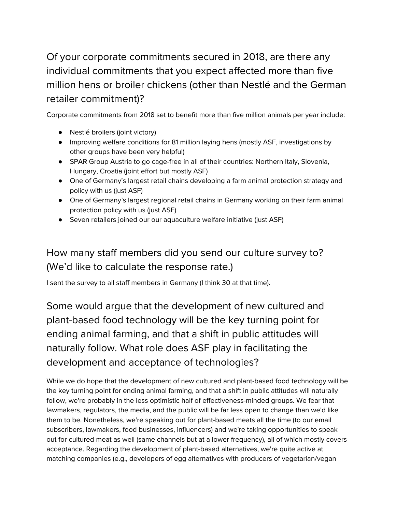# Of your corporate commitments secured in 2018, are there any individual commitments that you expect affected more than five million hens or broiler chickens (other than Nestlé and the German retailer commitment)?

Corporate commitments from 2018 set to benefit more than five million animals per year include:

- Nestlé broilers (joint victory)
- Improving welfare conditions for 81 million laying hens (mostly ASF, investigations by other groups have been very helpful)
- SPAR Group Austria to go cage-free in all of their countries: Northern Italy, Slovenia, Hungary, Croatia (joint effort but mostly ASF)
- One of Germany's largest retail chains developing a farm animal protection strategy and policy with us (just ASF)
- One of Germany's largest regional retail chains in Germany working on their farm animal protection policy with us (just ASF)
- Seven retailers joined our our aquaculture welfare initiative (just ASF)

#### How many staff members did you send our culture survey to? (We'd like to calculate the response rate.)

I sent the survey to all staff members in Germany (I think 30 at that time).

Some would argue that the development of new cultured and plant-based food technology will be the key turning point for ending animal farming, and that a shift in public attitudes will naturally follow. What role does ASF play in facilitating the development and acceptance of technologies?

While we do hope that the development of new cultured and plant-based food technology will be the key turning point for ending animal farming, and that a shift in public attitudes will naturally follow, we're probably in the less optimistic half of effectiveness-minded groups. We fear that lawmakers, regulators, the media, and the public will be far less open to change than we'd like them to be. Nonetheless, we're speaking out for plant-based meats all the time (to our email subscribers, lawmakers, food businesses, influencers) and we're taking opportunities to speak out for cultured meat as well (same channels but at a lower frequency), all of which mostly covers acceptance. Regarding the development of plant-based alternatives, we're quite active at matching companies (e.g., developers of egg alternatives with producers of vegetarian/vegan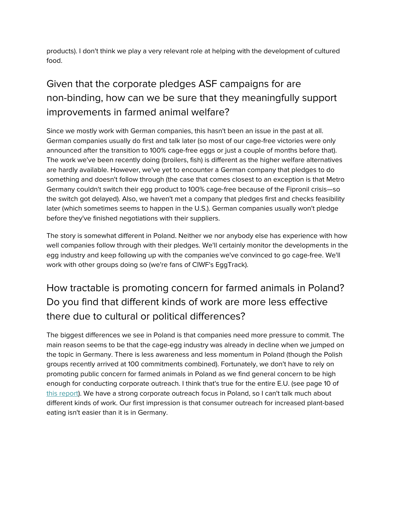products). I don't think we play a very relevant role at helping with the development of cultured food.

# Given that the corporate pledges ASF campaigns for are non-binding, how can we be sure that they meaningfully support improvements in farmed animal welfare?

Since we mostly work with German companies, this hasn't been an issue in the past at all. German companies usually do first and talk later (so most of our cage-free victories were only announced after the transition to 100% cage-free eggs or just a couple of months before that). The work we've been recently doing (broilers, fish) is different as the higher welfare alternatives are hardly available. However, we've yet to encounter a German company that pledges to do something and doesn't follow through (the case that comes closest to an exception is that Metro Germany couldn't switch their egg product to 100% cage-free because of the Fipronil crisis—so the switch got delayed). Also, we haven't met a company that pledges first and checks feasibility later (which sometimes seems to happen in the U.S.). German companies usually won't pledge before they've finished negotiations with their suppliers.

The story is somewhat different in Poland. Neither we nor anybody else has experience with how well companies follow through with their pledges. We'll certainly monitor the developments in the egg industry and keep following up with the companies we've convinced to go cage-free. We'll work with other groups doing so (we're fans of CIWF's EggTrack).

# How tractable is promoting concern for farmed animals in Poland? Do you find that different kinds of work are more less effective there due to cultural or political differences?

The biggest differences we see in Poland is that companies need more pressure to commit. The main reason seems to be that the cage-egg industry was already in decline when we jumped on the topic in Germany. There is less awareness and less momentum in Poland (though the Polish groups recently arrived at 100 commitments combined). Fortunately, we don't have to rely on promoting public concern for farmed animals in Poland as we find general concern to be high enough for conducting corporate outreach. I think that's true for the entire E.U. (see page 10 of this [report\)](http://eurogrourb.cluster020.hosting.ovh.net/wp-content/uploads/Eurobarometer-2016-Animal-Welfare.pdf). We have a strong corporate outreach focus in Poland, so I can't talk much about different kinds of work. Our first impression is that consumer outreach for increased plant-based eating isn't easier than it is in Germany.